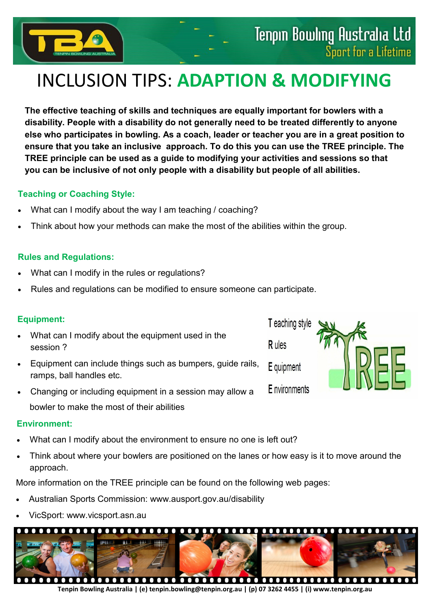

# INCLUSION TIPS: **ADAPTION & MODIFYING**

**The effective teaching of skills and techniques are equally important for bowlers with a disability. People with a disability do not generally need to be treated differently to anyone else who participates in bowling. As a coach, leader or teacher you are in a great position to ensure that you take an inclusive approach. To do this you can use the TREE principle. The TREE principle can be used as a guide to modifying your activities and sessions so that you can be inclusive of not only people with a disability but people of all abilities.**

## **Teaching or Coaching Style:**

- What can I modify about the way I am teaching / coaching?
- Think about how your methods can make the most of the abilities within the group.

## **Rules and Regulations:**

- What can I modify in the rules or regulations?
- Rules and regulations can be modified to ensure someone can participate.

## **Equipment:**

- What can I modify about the equipment used in the session ?
- Equipment can include things such as bumpers, guide rails, ramps, ball handles etc.
- Changing or including equipment in a session may allow a bowler to make the most of their abilities

#### **Environment:**

- What can I modify about the environment to ensure no one is left out?
- Think about where your bowlers are positioned on the lanes or how easy is it to move around the approach.

More information on the TREE principle can be found on the following web pages:

- Australian Sports Commission: www.ausport.gov.au/disability
- VicSport: www.vicsport.asn.au



**Tenpin Bowling Australia | (e) tenpin.bowling@tenpin.org.au | (p) 07 3262 4455 | (i) www.tenpin.org.au**